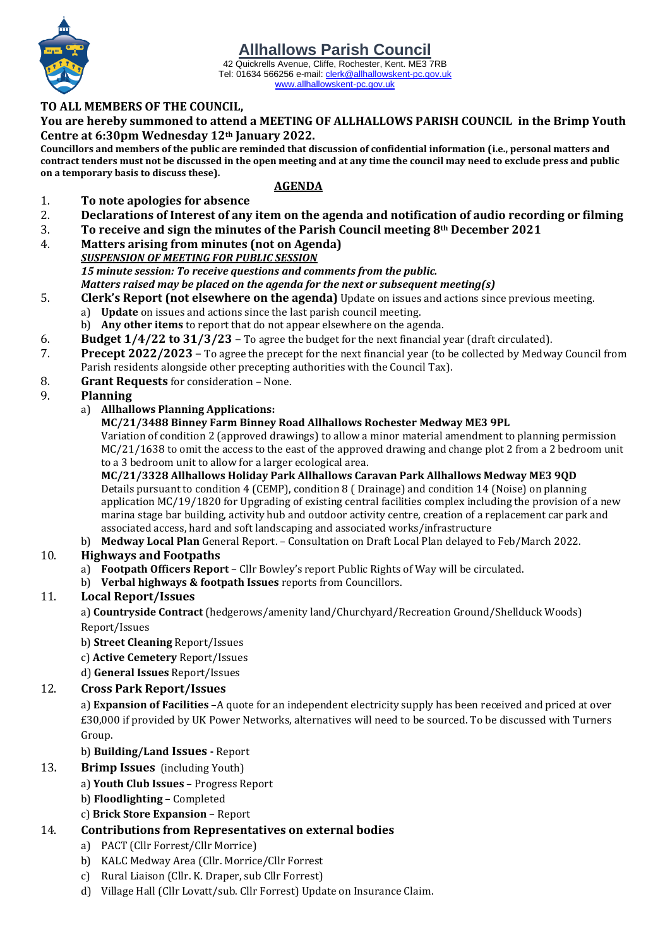#### 42 Quickrells Avenue, Cliffe, Rochester, Kent. ME3 7RB Tel: 01634 566256 e-mail[: clerk@allhallowskent-pc.gov.uk](mailto:allhallowspc@gmail.com) [www.allhallowskent-pc.gov.uk](http://www.allhallowskent-pc.gov.uk/)

## **TO ALL MEMBERS OF THE COUNCIL,**

**You are hereby summoned to attend a MEETING OF ALLHALLOWS PARISH COUNCIL in the Brimp Youth Centre at 6:30pm Wednesday 12th January 2022.**

**Councillors and members of the public are reminded that discussion of confidential information (i.e., personal matters and contract tenders must not be discussed in the open meeting and at any time the council may need to exclude press and public on a temporary basis to discuss these).**

## **AGENDA**

## 1. **To note apologies for absence**

- 2. **Declarations of Interest of any item on the agenda and notification of audio recording or filming**
- 3. **To receive and sign the minutes of the Parish Council meeting 8th December 2021**
- 4. **Matters arising from minutes (not on Agenda)** *SUSPENSION OF MEETING FOR PUBLIC SESSION 15 minute session: To receive questions and comments from the public.*

*Matters raised may be placed on the agenda for the next or subsequent meeting(s)*

- 5. **Clerk's Report (not elsewhere on the agenda)** Update on issues and actions since previous meeting.
	- a) **Update** on issues and actions since the last parish council meeting.
	- b) **Any other items** to report that do not appear elsewhere on the agenda.
- 6. **Budget 1/4/22 to 31/3/23** To agree the budget for the next financial year (draft circulated).
- 7. **Precept 2022/2023** To agree the precept for the next financial year (to be collected by Medway Council from Parish residents alongside other precepting authorities with the Council Tax).
- 8. **Grant Requests** for consideration None.

## 9. **Planning**

## a) **Allhallows Planning Applications:**

## **MC/21/3488 Binney Farm Binney Road Allhallows Rochester Medway ME3 9PL**

Variation of condition 2 (approved drawings) to allow a minor material amendment to planning permission MC/21/1638 to omit the access to the east of the approved drawing and change plot 2 from a 2 bedroom unit to a 3 bedroom unit to allow for a larger ecological area.

**MC/21/3328 Allhallows Holiday Park Allhallows Caravan Park Allhallows Medway ME3 9QD** Details pursuant to condition 4 (CEMP), condition 8 ( Drainage) and condition 14 (Noise) on planning application MC/19/1820 for Upgrading of existing central facilities complex including the provision of a new marina stage bar building, activity hub and outdoor activity centre, creation of a replacement car park and associated access, hard and soft landscaping and associated works/infrastructure

b) **Medway Local Plan** General Report. – Consultation on Draft Local Plan delayed to Feb/March 2022.

## 10. **Highways and Footpaths**

- a) **Footpath Officers Report** Cllr Bowley's report Public Rights of Way will be circulated.
- b) **Verbal highways & footpath Issues** reports from Councillors.

## 11. **Local Report/Issues**

a) **Countryside Contract** (hedgerows/amenity land/Churchyard/Recreation Ground/Shellduck Woods) Report/Issues

- b) **Street Cleaning** Report/Issues
- c) **Active Cemetery** Report/Issues
- d) **General Issues** Report/Issues

## 12. **Cross Park Report/Issues**

a) **Expansion of Facilities** –A quote for an independent electricity supply has been received and priced at over £30,000 if provided by UK Power Networks, alternatives will need to be sourced. To be discussed with Turners Group.

## b) **Building/Land Issues -** Report

- 13**. Brimp Issues** (including Youth)
	- a) **Youth Club Issues** Progress Report
	- b) **Floodlighting** Completed

## c) **Brick Store Expansion** – Report

## 14. **Contributions from Representatives on external bodies**

- a) PACT (Cllr Forrest/Cllr Morrice)
- b) KALC Medway Area (Cllr. Morrice/Cllr Forrest
- c) Rural Liaison (Cllr. K. Draper, sub Cllr Forrest)
- d) Village Hall (Cllr Lovatt/sub. Cllr Forrest) Update on Insurance Claim.